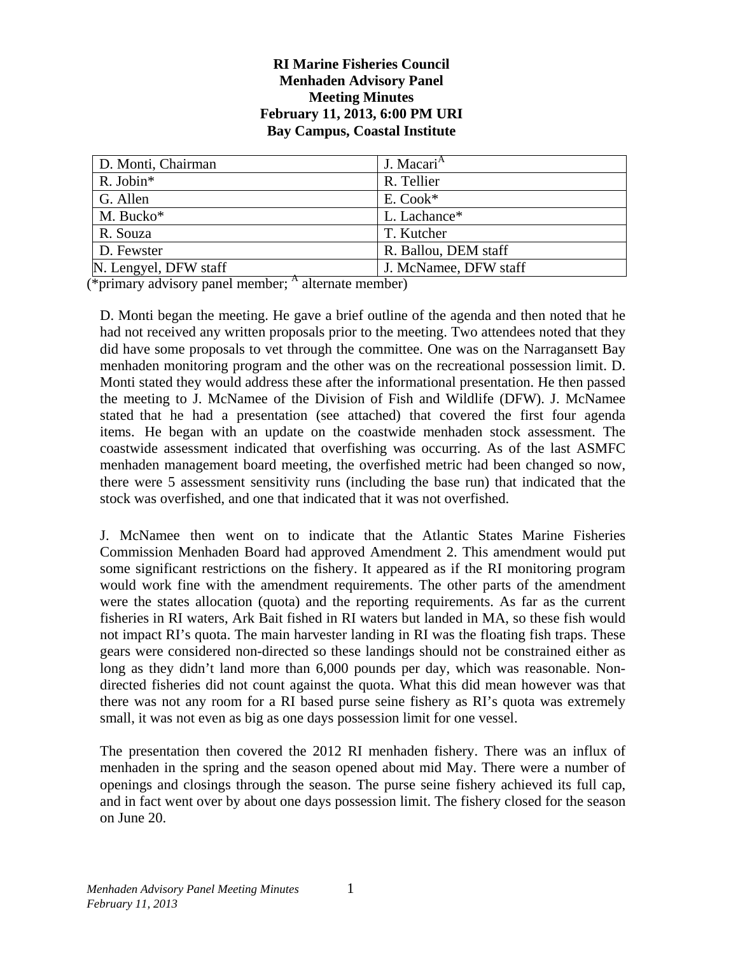#### **RI Marine Fisheries Council Menhaden Advisory Panel Meeting Minutes February 11, 2013, 6:00 PM URI Bay Campus, Coastal Institute**

| D. Monti, Chairman    | J. Macari <sup>A</sup> |
|-----------------------|------------------------|
| $R.$ Jobin*           | R. Tellier             |
| G. Allen              | E. Cook*               |
| M. Bucko*             | L. Lachance*           |
| R. Souza              | T. Kutcher             |
| D. Fewster            | R. Ballou, DEM staff   |
| N. Lengyel, DFW staff | J. McNamee, DFW staff  |

 $(\overline{\text{*primary}})$  advisory panel member;  $\overline{\text{*}}$  alternate member)

D. Monti began the meeting. He gave a brief outline of the agenda and then noted that he had not received any written proposals prior to the meeting. Two attendees noted that they did have some proposals to vet through the committee. One was on the Narragansett Bay menhaden monitoring program and the other was on the recreational possession limit. D. Monti stated they would address these after the informational presentation. He then passed the meeting to J. McNamee of the Division of Fish and Wildlife (DFW). J. McNamee stated that he had a presentation (see attached) that covered the first four agenda items. He began with an update on the coastwide menhaden stock assessment. The coastwide assessment indicated that overfishing was occurring. As of the last ASMFC menhaden management board meeting, the overfished metric had been changed so now, there were 5 assessment sensitivity runs (including the base run) that indicated that the stock was overfished, and one that indicated that it was not overfished.

J. McNamee then went on to indicate that the Atlantic States Marine Fisheries Commission Menhaden Board had approved Amendment 2. This amendment would put some significant restrictions on the fishery. It appeared as if the RI monitoring program would work fine with the amendment requirements. The other parts of the amendment were the states allocation (quota) and the reporting requirements. As far as the current fisheries in RI waters, Ark Bait fished in RI waters but landed in MA, so these fish would not impact RI's quota. The main harvester landing in RI was the floating fish traps. These gears were considered non-directed so these landings should not be constrained either as long as they didn't land more than 6,000 pounds per day, which was reasonable. Nondirected fisheries did not count against the quota. What this did mean however was that there was not any room for a RI based purse seine fishery as RI's quota was extremely small, it was not even as big as one days possession limit for one vessel.

The presentation then covered the 2012 RI menhaden fishery. There was an influx of menhaden in the spring and the season opened about mid May. There were a number of openings and closings through the season. The purse seine fishery achieved its full cap, and in fact went over by about one days possession limit. The fishery closed for the season on June 20.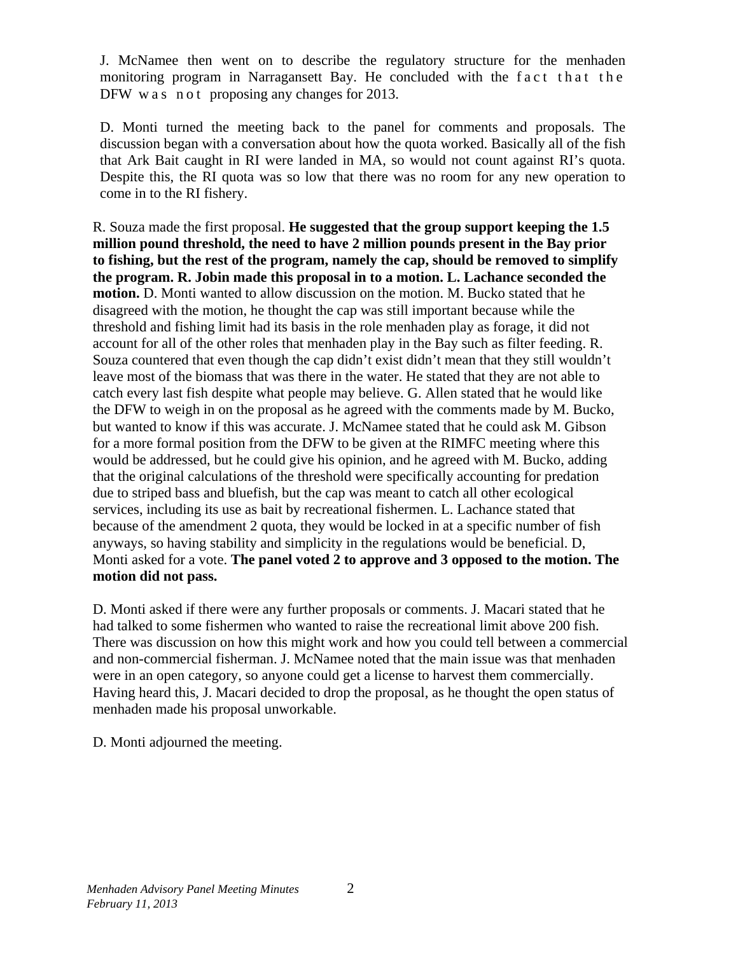J. McNamee then went on to describe the regulatory structure for the menhaden monitoring program in Narragansett Bay. He concluded with the fact that the DFW w a s n o t proposing any changes for 2013.

D. Monti turned the meeting back to the panel for comments and proposals. The discussion began with a conversation about how the quota worked. Basically all of the fish that Ark Bait caught in RI were landed in MA, so would not count against RI's quota. Despite this, the RI quota was so low that there was no room for any new operation to come in to the RI fishery.

R. Souza made the first proposal. **He suggested that the group support keeping the 1.5 million pound threshold, the need to have 2 million pounds present in the Bay prior to fishing, but the rest of the program, namely the cap, should be removed to simplify the program. R. Jobin made this proposal in to a motion. L. Lachance seconded the motion.** D. Monti wanted to allow discussion on the motion. M. Bucko stated that he disagreed with the motion, he thought the cap was still important because while the threshold and fishing limit had its basis in the role menhaden play as forage, it did not account for all of the other roles that menhaden play in the Bay such as filter feeding. R. Souza countered that even though the cap didn't exist didn't mean that they still wouldn't leave most of the biomass that was there in the water. He stated that they are not able to catch every last fish despite what people may believe. G. Allen stated that he would like the DFW to weigh in on the proposal as he agreed with the comments made by M. Bucko, but wanted to know if this was accurate. J. McNamee stated that he could ask M. Gibson for a more formal position from the DFW to be given at the RIMFC meeting where this would be addressed, but he could give his opinion, and he agreed with M. Bucko, adding that the original calculations of the threshold were specifically accounting for predation due to striped bass and bluefish, but the cap was meant to catch all other ecological services, including its use as bait by recreational fishermen. L. Lachance stated that because of the amendment 2 quota, they would be locked in at a specific number of fish anyways, so having stability and simplicity in the regulations would be beneficial. D, Monti asked for a vote. **The panel voted 2 to approve and 3 opposed to the motion. The motion did not pass.**

D. Monti asked if there were any further proposals or comments. J. Macari stated that he had talked to some fishermen who wanted to raise the recreational limit above 200 fish. There was discussion on how this might work and how you could tell between a commercial and non-commercial fisherman. J. McNamee noted that the main issue was that menhaden were in an open category, so anyone could get a license to harvest them commercially. Having heard this, J. Macari decided to drop the proposal, as he thought the open status of menhaden made his proposal unworkable.

D. Monti adjourned the meeting.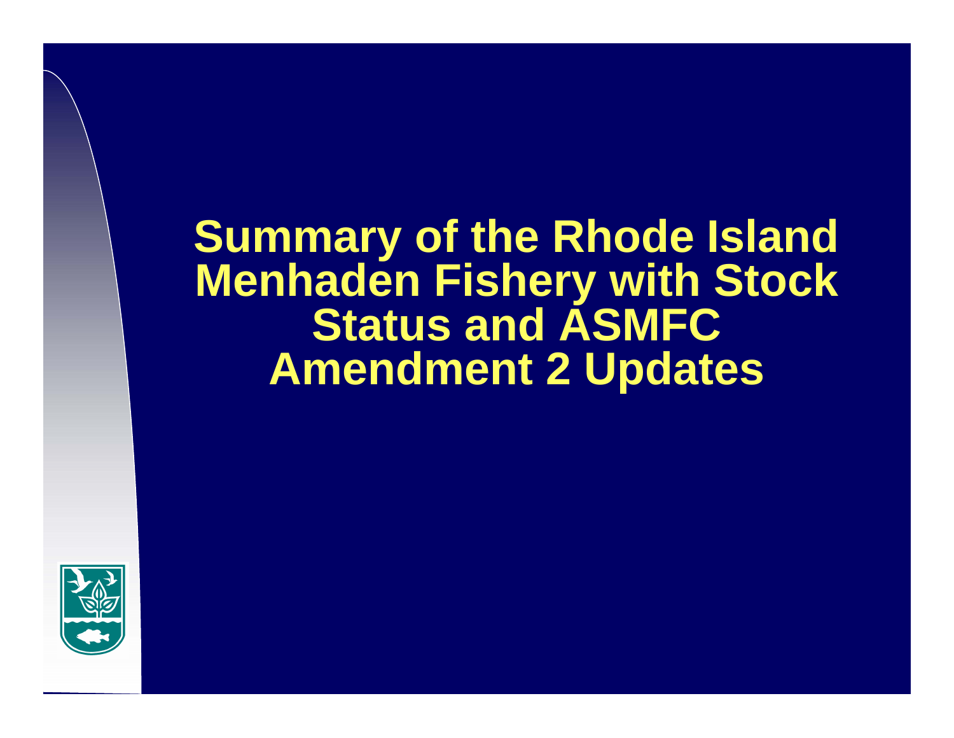# **Summary of the Rhode Island Menhaden Fishery with Stock Status and ASMFC Amendment 2 Updates**

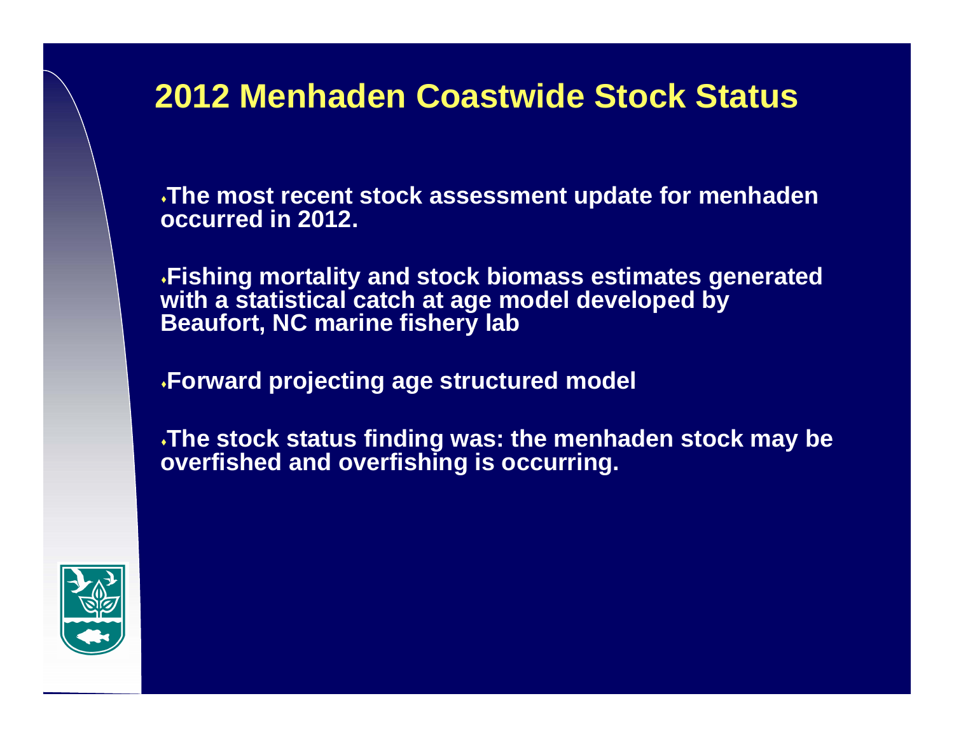**The most recent stock assessment update for menhaden occurred in 2012.** 

**Fishing mortality and stock biomass estimates generated with a statistical catch at age model developed by Beaufort, NC marine fishery lab**

**Forward projecting age structured model**

**The stock status finding was: the menhaden stock may be overfished and overfishing is occurring.** 

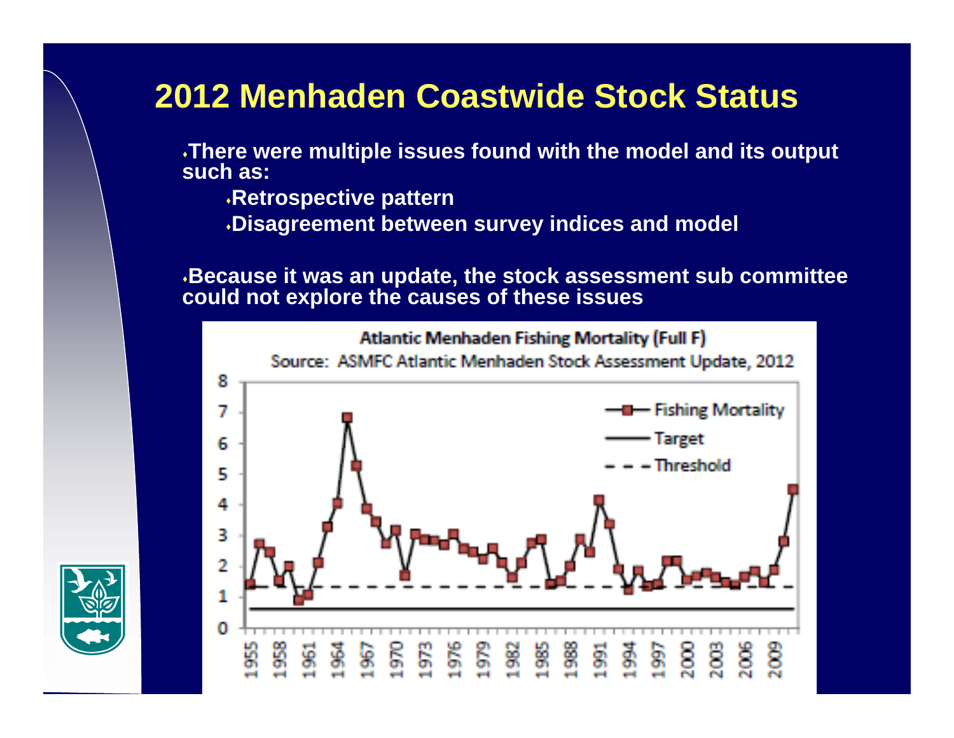**There were multiple issues found with the model and its output such as:**

- **Retrospective pattern**
- **Disagreement between survey indices and model**

**Because it was an update, the stock assessment sub committee could not explore the causes of these issues**



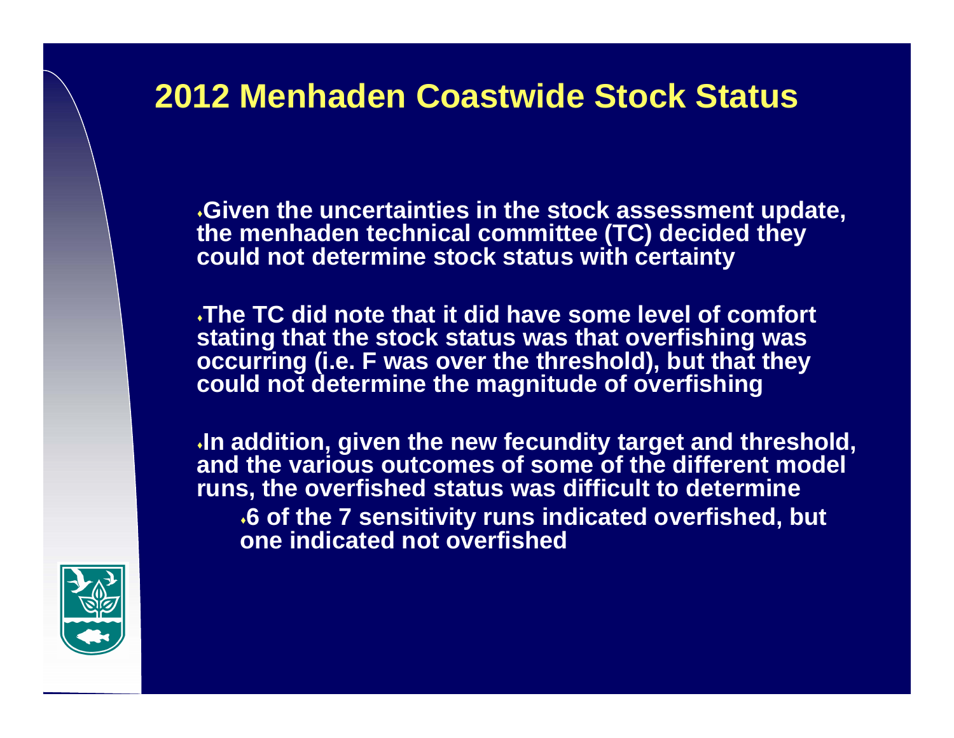**Given the uncertainties in the stock assessment update, the menhaden technical committee (TC) decided they could not determine stock status with certainty**

**The TC did note that it did have some level of comfort stating that the stock status was that overfishing was occurring (i.e. F was over the threshold), but that they could not determine the magnitude of overfishing**

**In addition, given the new fecundity target and threshold, and the various outcomes of some of the different model runs, the overfished status was difficult to determine 6 of the 7 sensitivity runs indicated overfished, but one indicated not overfished**

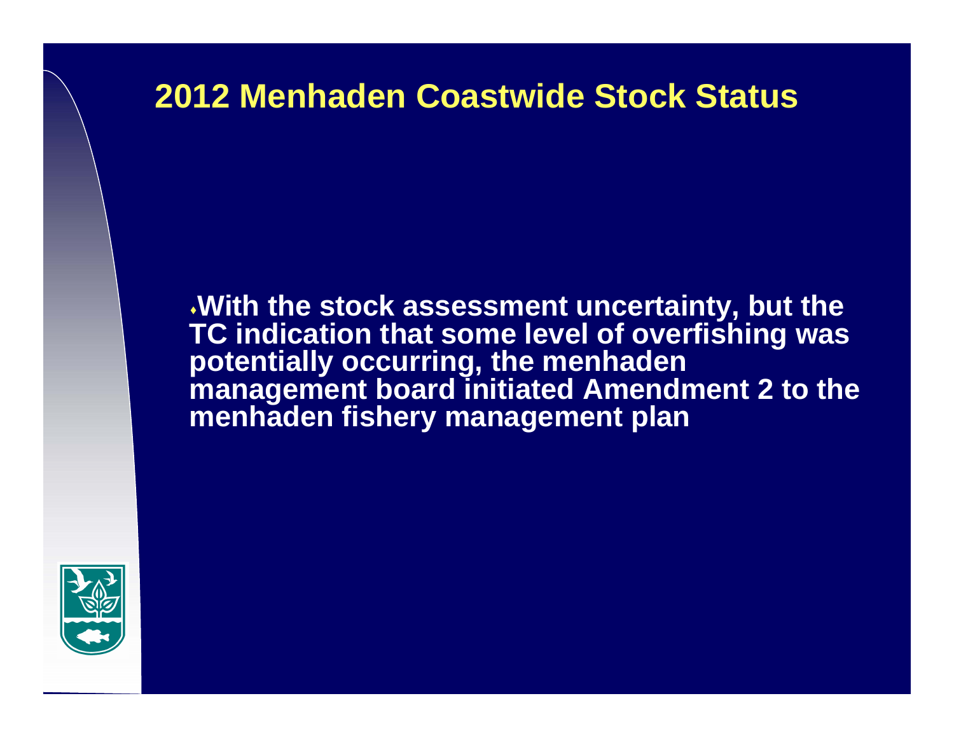**With the stock assessment uncertainty, but the TC indication that some level of overfishing was potentially occurring, the menhaden management board initiated Amendment 2 to the menhaden fishery management plan**

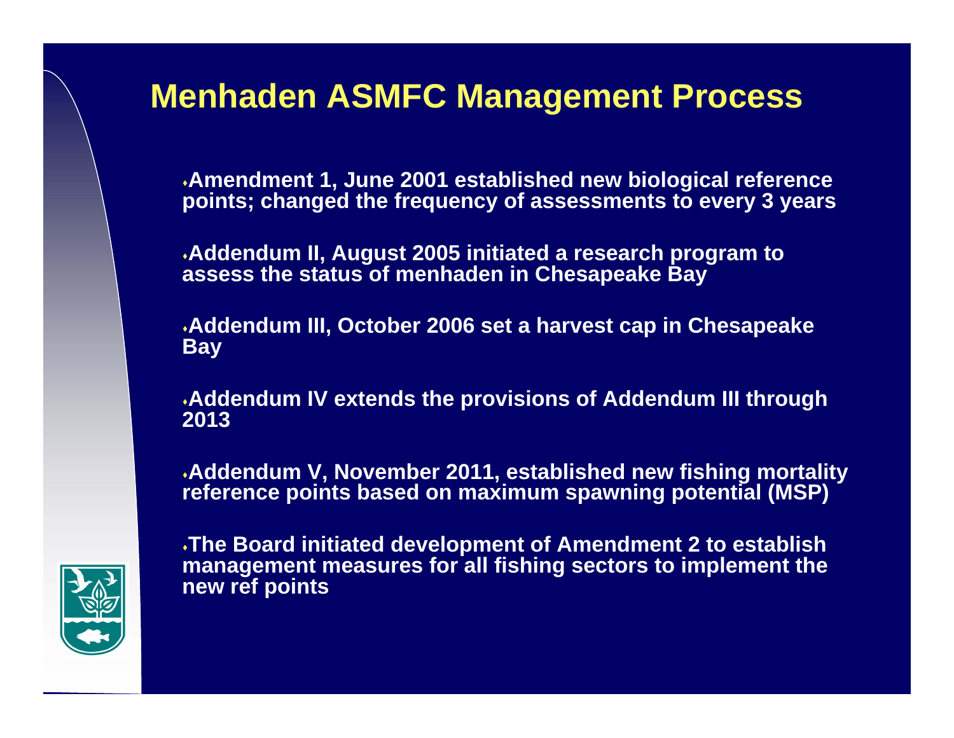#### **Menhaden ASMFC Management Process**

**Amendment 1, June 2001 established new biological reference points; changed the frequency of assessments to every 3 years**

**Addendum II, August 2005 initiated a research program to assess the status of menhaden in Chesapeake Bay**

**Addendum III, October 2006 set a harvest cap in Chesapeake Bay**

**Addendum IV extends the provisions of Addendum III through 2013**

**Addendum V, November 2011, established new fishing mortality reference points based on maximum spawning potential (MSP)**



**The Board initiated development of Amendment 2 to establish management measures for all fishing sectors to implement the new ref points**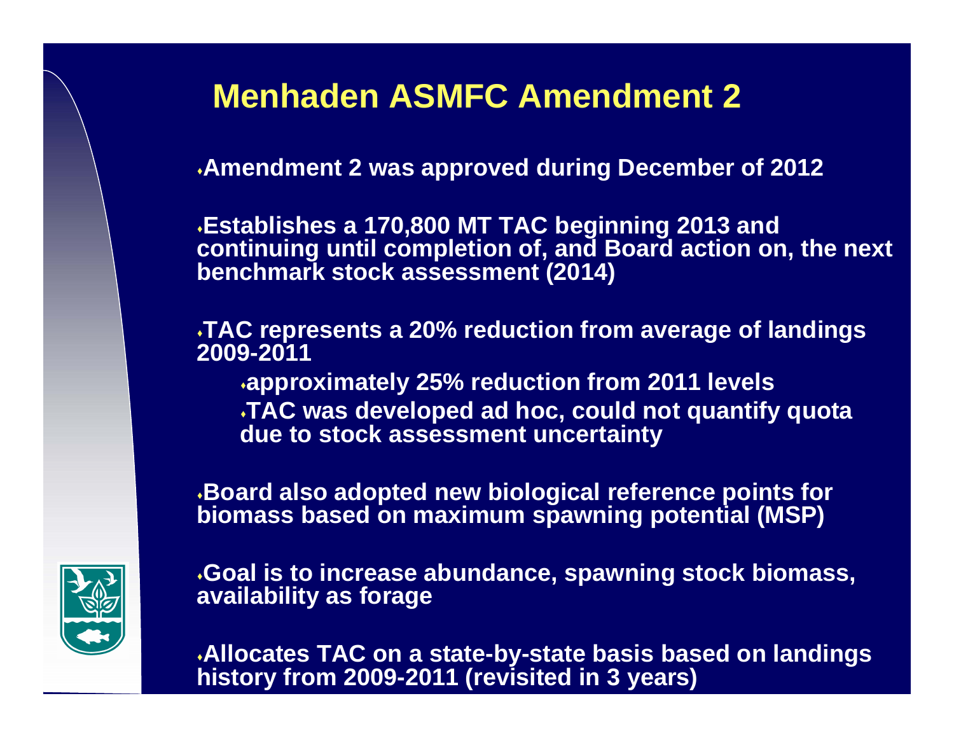# **Menhaden ASMFC Amendment 2**

**Amendment 2 was approved during December of 2012**

**Establishes a 170,800 MT TAC beginning 2013 and continuing until completion of, and Board action on, the next benchmark stock assessment (2014)**

**TAC represents a 20% reduction from average of landings 2009-2011**

**approximately 25% reduction from 2011 levels TAC was developed ad hoc, could not quantify quota due to stock assessment uncertainty**

**Board also adopted new biological reference points for biomass based on maximum spawning potential (MSP)** 



**Goal is to increase abundance, spawning stock biomass, availability as forage**

**Allocates TAC on a state-by-state basis based on landings history from 2009-2011 (revisited in 3 years)**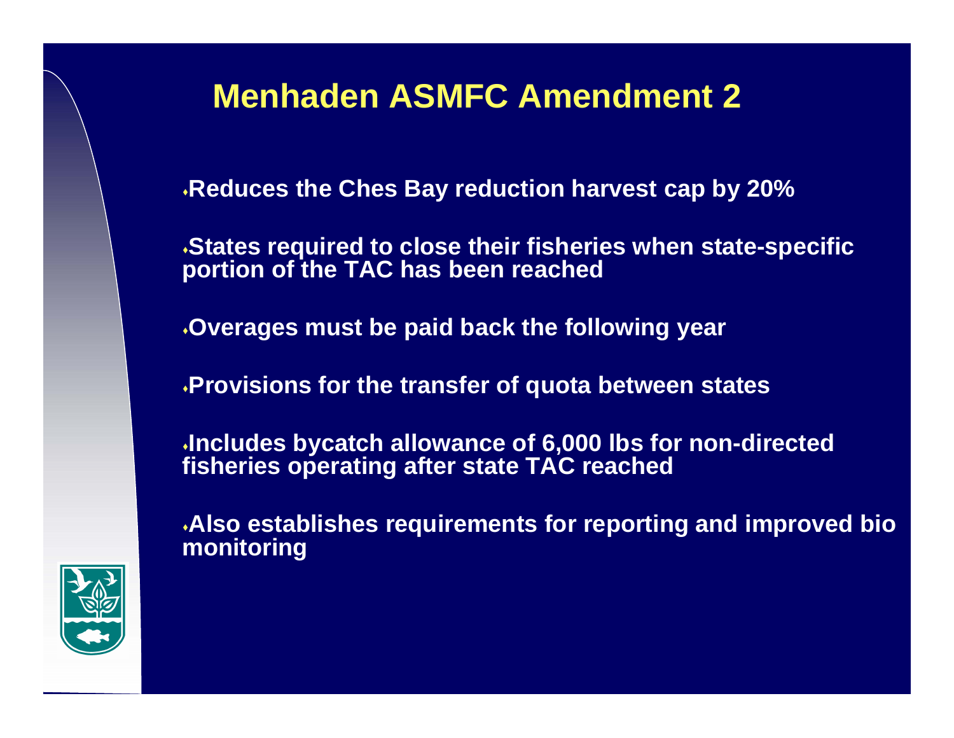# **Menhaden ASMFC Amendment 2**

**Reduces the Ches Bay reduction harvest cap by 20%**

**States required to close their fisheries when state-specific portion of the TAC has been reached**

**Overages must be paid back the following year**

**Provisions for the transfer of quota between states** 

**Includes bycatch allowance of 6,000 lbs for non-directed fisheries operating after state TAC reached**

**Also establishes requirements for reporting and improved bio monitoring**

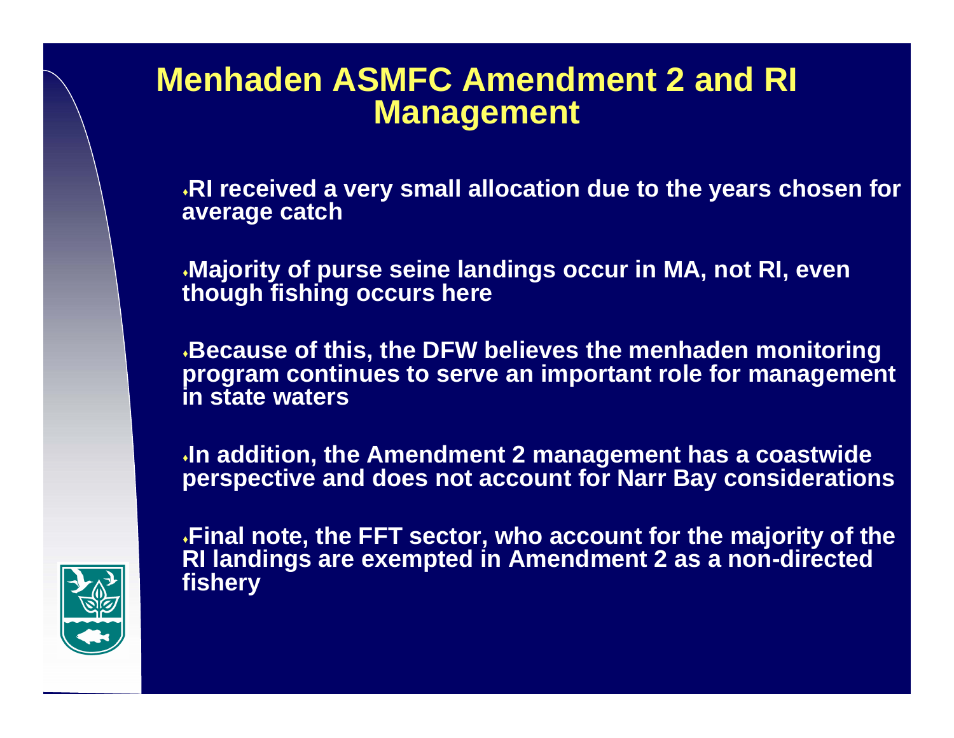#### **Menhaden ASMFC Amendment 2 and RI Management**

**RI received a very small allocation due to the years chosen for average catch**

**Majority of purse seine landings occur in MA, not RI, even though fishing occurs here**

**Because of this, the DFW believes the menhaden monitoring program continues to serve an important role for management in state waters**

**In addition, the Amendment 2 management has a coastwide perspective and does not account for Narr Bay considerations**



**Final note, the FFT sector, who account for the majority of the RI landings are exempted in Amendment 2 as a non-directed fishery**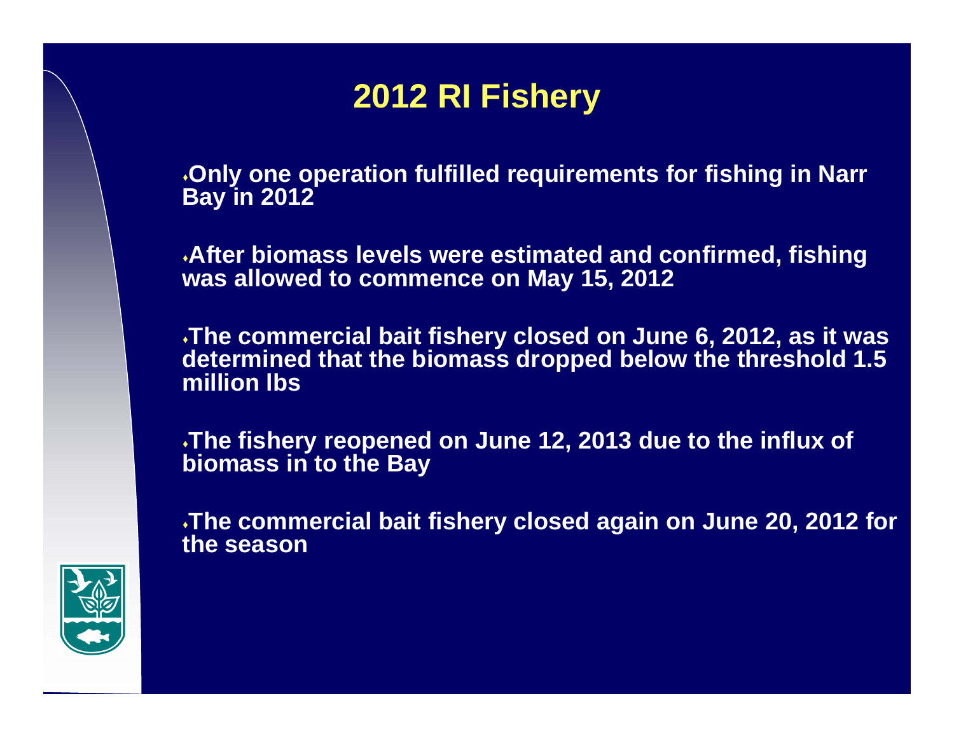# **2012 RI Fishery**

**Only one operation fulfilled requirements for fishing in Narr Bay in 2012** 

**After biomass levels were estimated and confirmed, fishing was allowed to commence on May 15, 2012**

**The commercial bait fishery closed on June 6, 2012, as it was determined that the biomass dropped below the threshold 1.5 million lbs**

**The fishery reopened on June 12, 2013 due to the influx of biomass in to the Bay**

**The commercial bait fishery closed again on June 20, 2012 for the season**

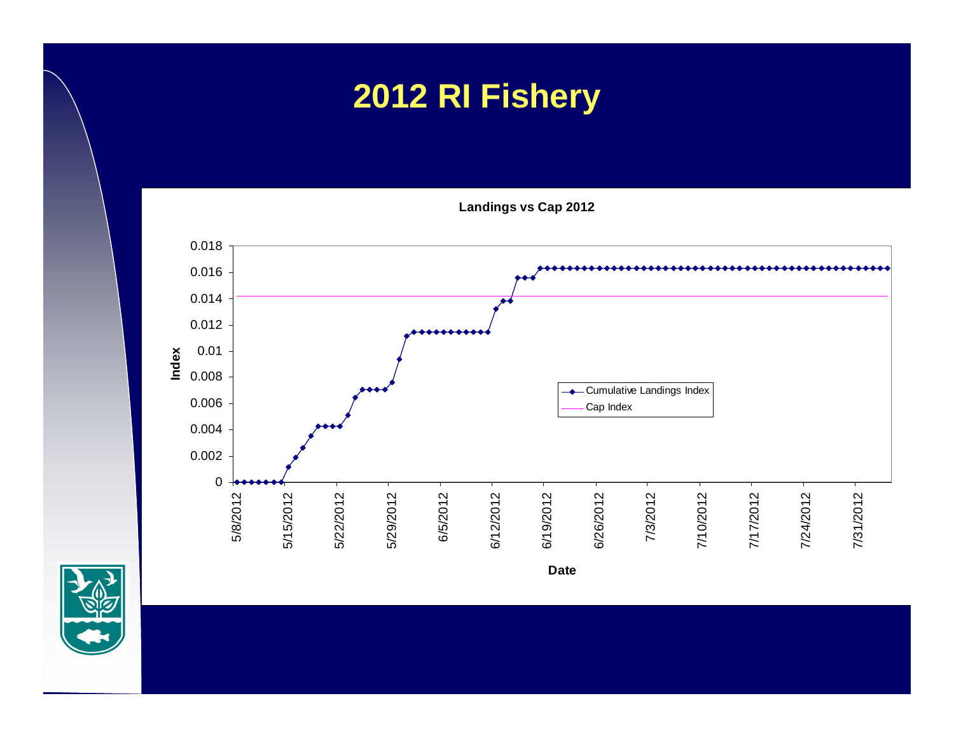# **2012 RI Fishery**

**Landings vs Cap 2012**



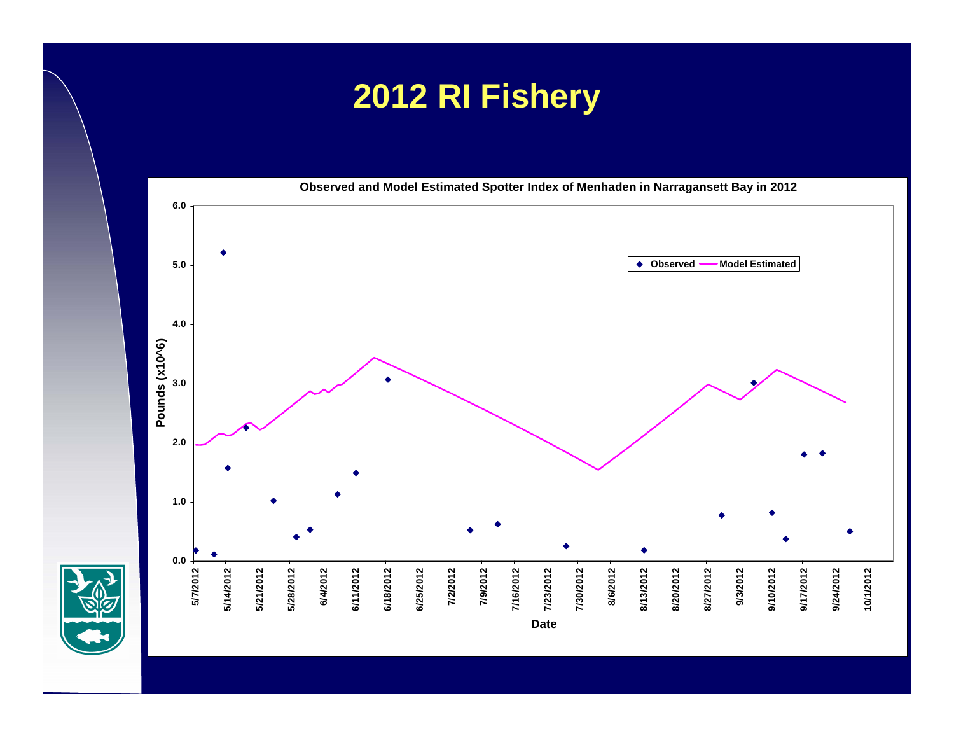# **2012 RI Fishery**

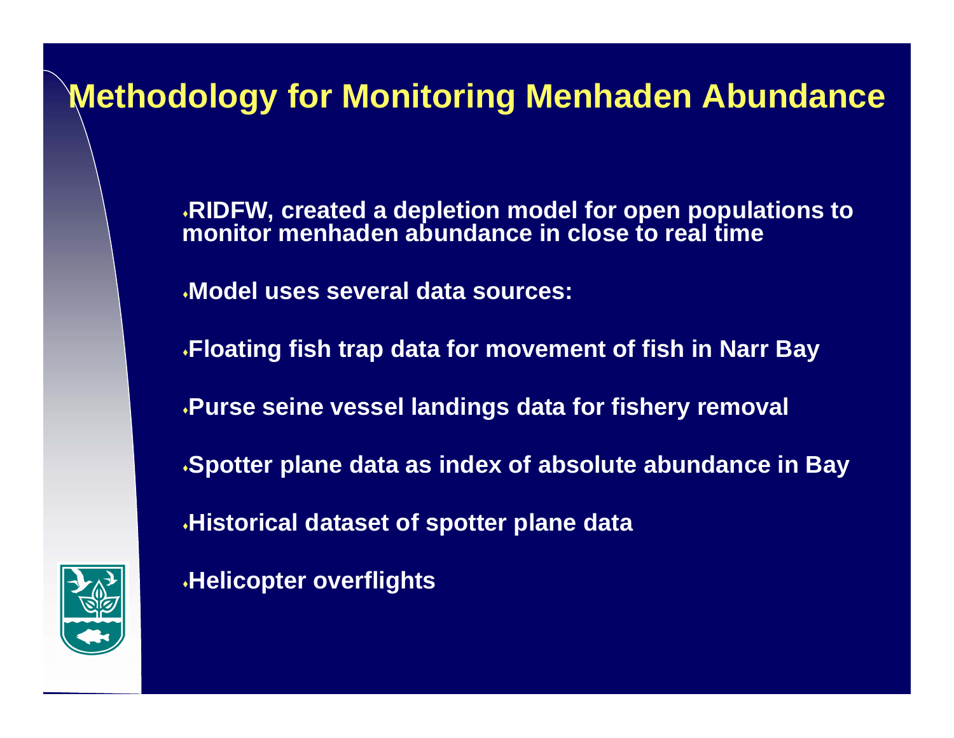# **Methodology for Monitoring Menhaden Abundance**

**RIDFW, created a depletion model for open populations to monitor menhaden abundance in close to real time**

**Model uses several data sources:**

**Helicopter overflights**

**Floating fish trap data for movement of fish in Narr Bay Purse seine vessel landings data for fishery removal Spotter plane data as index of absolute abundance in Bay Historical dataset of spotter plane data**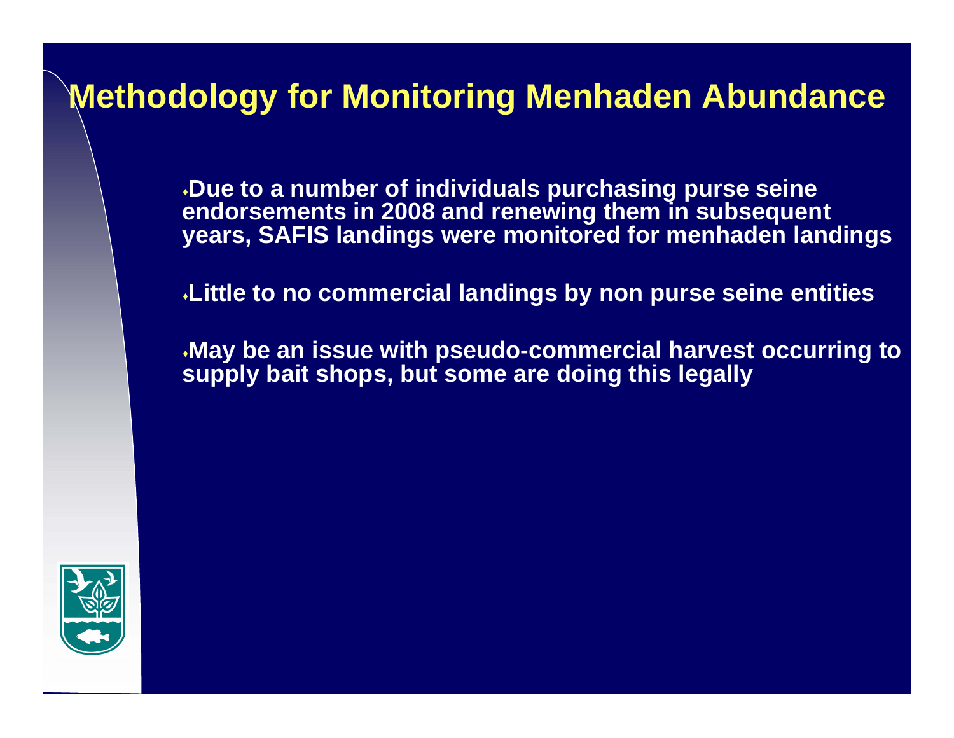#### **Methodology for Monitoring Menhaden Abundance**

**Due to a number of individuals purchasing purse seine endorsements in 2008 and renewing them in subsequent years, SAFIS landings were monitored for menhaden landings**

**Little to no commercial landings by non purse seine entities** 

**May be an issue with pseudo-commercial harvest occurring to supply bait shops, but some are doing this legally**

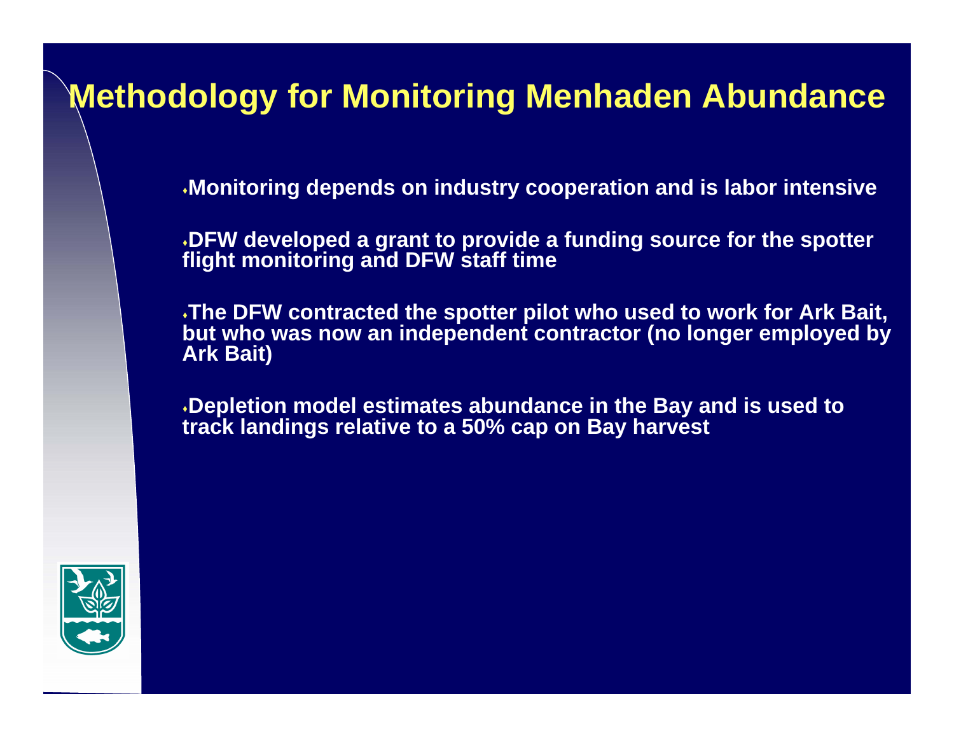#### **Methodology for Monitoring Menhaden Abundance**

**Monitoring depends on industry cooperation and is labor intensive**

**DFW developed a grant to provide a funding source for the spotter flight monitoring and DFW staff time**

**The DFW contracted the spotter pilot who used to work for Ark Bait, but who was now an independent contractor (no longer employed by Ark Bait)**

**Depletion model estimates abundance in the Bay and is used to track landings relative to a 50% cap on Bay harvest**

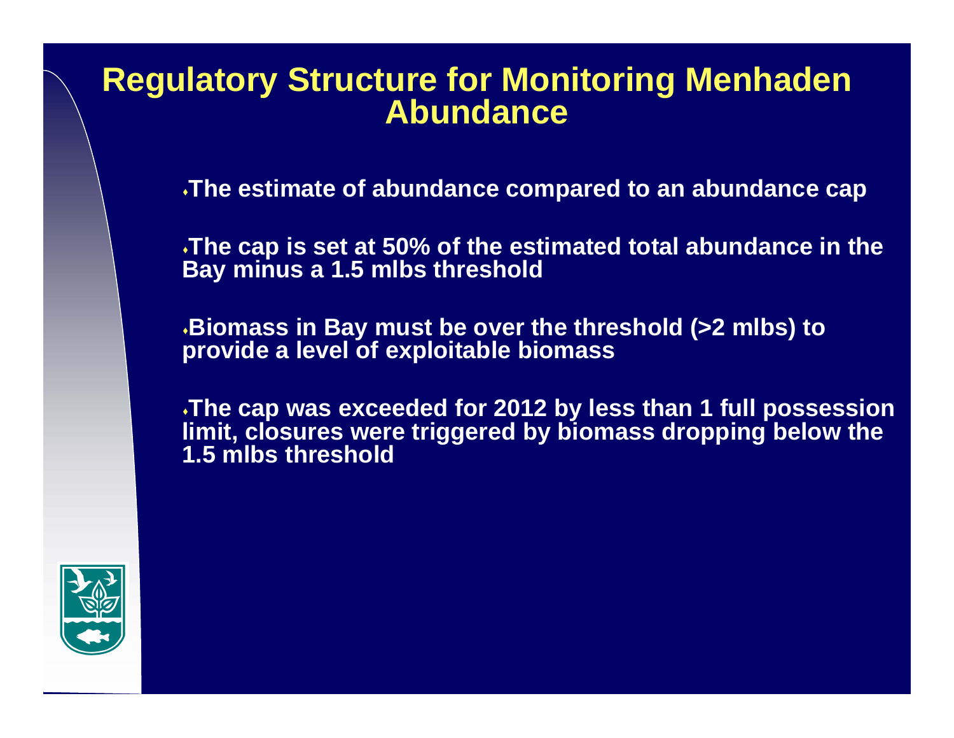#### **Regulatory Structure for Monitoring Menhaden Abundance**

**The estimate of abundance compared to an abundance cap**

**The cap is set at 50% of the estimated total abundance in the Bay minus a 1.5 mlbs threshold**

**Biomass in Bay must be over the threshold (>2 mlbs) to provide a level of exploitable biomass**

**The cap was exceeded for 2012 by less than 1 full possession limit, closures were triggered by biomass dropping below the 1.5 mlbs threshold**

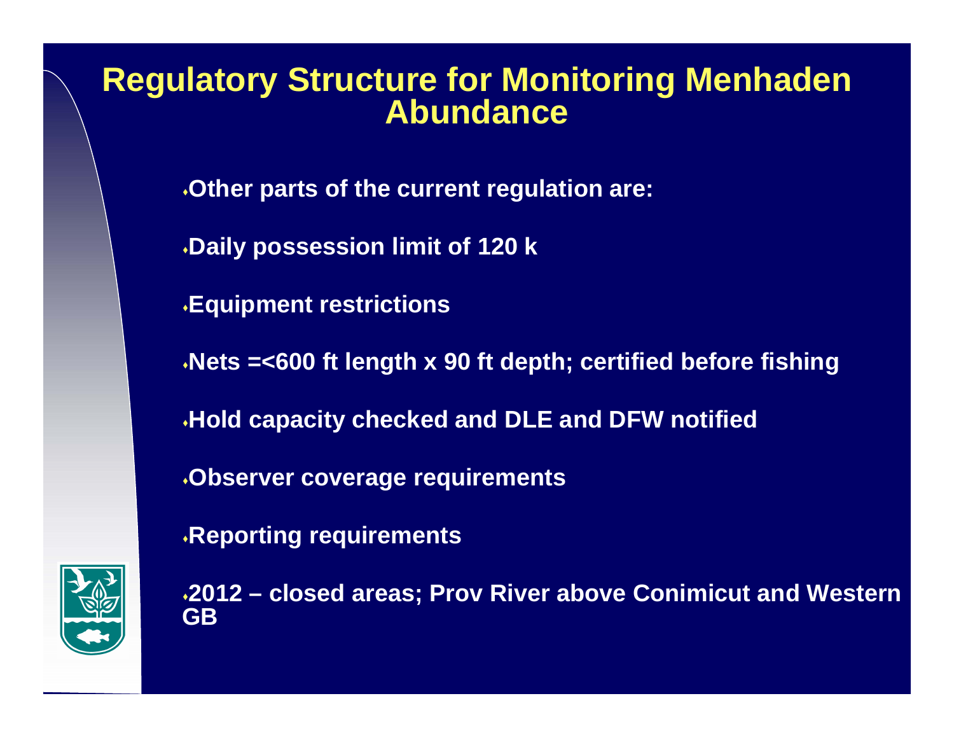#### **Regulatory Structure for Monitoring Menhaden Abundance**

**Other parts of the current regulation are:**

**Daily possession limit of 120 k** 

**Equipment restrictions**

**Nets =<600 ft length x 90 ft depth; certified before fishing**

**Hold capacity checked and DLE and DFW notified**

**Observer coverage requirements**

**Reporting requirements**



**2012 – closed areas; Prov River above Conimicut and Western GB**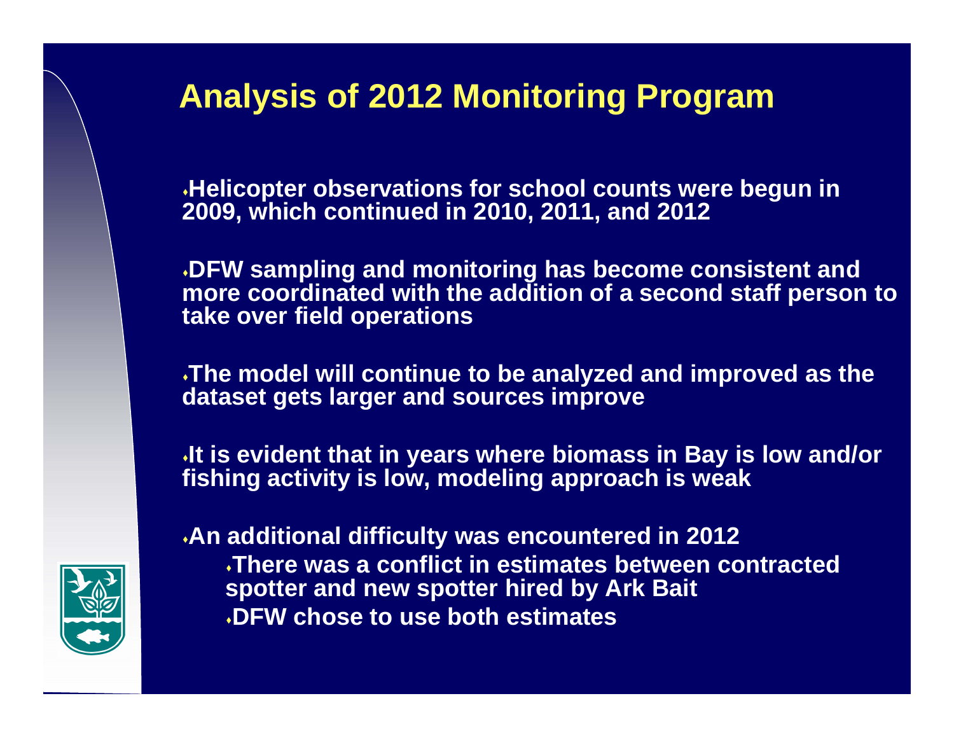# **Analysis of 2012 Monitoring Program**

**Helicopter observations for school counts were begun in 2009, which continued in 2010, 2011, and 2012**

**DFW sampling and monitoring has become consistent and more coordinated with the addition of a second staff person to take over field operations**

**The model will continue to be analyzed and improved as the dataset gets larger and sources improve**

**It is evident that in years where biomass in Bay is low and/or fishing activity is low, modeling approach is weak**



**An additional difficulty was encountered in 2012**

**There was a conflict in estimates between contracted spotter and new spotter hired by Ark Bait DFW chose to use both estimates**